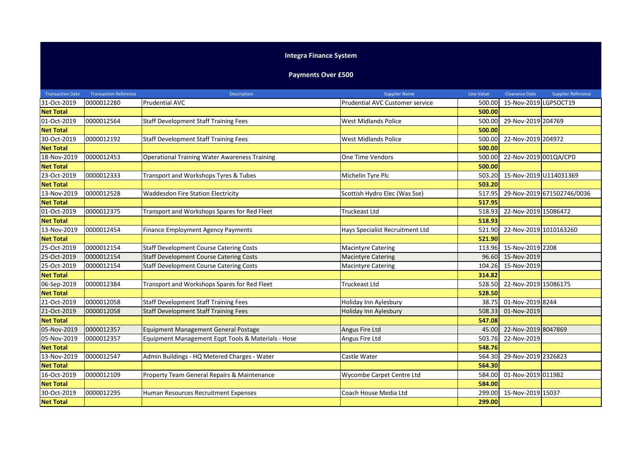## **Integra Finance System**

## **Payments Over £500**

| <b>Transaction Date</b> | <b>Transaction Reference</b> | <b>Description</b>                                   | <b>Supplier Name</b>            | <b>Line Value</b> | <b>Clearance Date</b>  | <b>Supplier Reference</b>  |
|-------------------------|------------------------------|------------------------------------------------------|---------------------------------|-------------------|------------------------|----------------------------|
| 31-Oct-2019             | 0000012280                   | <b>Prudential AVC</b>                                | Prudential AVC Customer service | 500.00            | 15-Nov-2019 LGPSOCT19  |                            |
| <b>Net Total</b>        |                              |                                                      |                                 | 500.00            |                        |                            |
| 01-Oct-2019             | 0000012564                   | <b>Staff Development Staff Training Fees</b>         | <b>West Midlands Police</b>     | 500.00            | 29-Nov-2019 204769     |                            |
| <b>Net Total</b>        |                              |                                                      |                                 | 500.00            |                        |                            |
| 30-Oct-2019             | 0000012192                   | <b>Staff Development Staff Training Fees</b>         | <b>West Midlands Police</b>     | 500.00            | 22-Nov-2019 204972     |                            |
| <b>Net Total</b>        |                              |                                                      |                                 | 500.00            |                        |                            |
| 18-Nov-2019             | 0000012453                   | <b>Operational Training Water Awareness Training</b> | <b>One Time Vendors</b>         | 500.00            | 22-Nov-2019 001QA/CPD  |                            |
| <b>Net Total</b>        |                              |                                                      |                                 | 500.00            |                        |                            |
| 23-Oct-2019             | 0000012333                   | Transport and Workshops Tyres & Tubes                | Michelin Tyre Plc               | 503.20            | 15-Nov-2019 U114031369 |                            |
| <b>Net Total</b>        |                              |                                                      |                                 | 503.20            |                        |                            |
| 13-Nov-2019             | 0000012528                   | <b>Waddesdon Fire Station Electricity</b>            | Scottish Hydro Elec (Was Sse)   | 517.95            |                        | 29-Nov-2019 671502746/0036 |
| <b>Net Total</b>        |                              |                                                      |                                 | 517.95            |                        |                            |
| 01-Oct-2019             | 0000012375                   | Transport and Workshops Spares for Red Fleet         | <b>Truckeast Ltd</b>            | 518.93            | 22-Nov-2019 15086472   |                            |
| <b>Net Total</b>        |                              |                                                      |                                 | 518.93            |                        |                            |
| 13-Nov-2019             | 0000012454                   | Finance Employment Agency Payments                   | Hays Specialist Recruitment Ltd | 521.90            | 22-Nov-2019 1010163260 |                            |
| <b>Net Total</b>        |                              |                                                      |                                 | 521.90            |                        |                            |
| 25-Oct-2019             | 0000012154                   | <b>Staff Development Course Catering Costs</b>       | <b>Macintyre Catering</b>       | 113.96            | 15-Nov-2019 2208       |                            |
| 25-Oct-2019             | 0000012154                   | <b>Staff Development Course Catering Costs</b>       | <b>Macintyre Catering</b>       |                   | 96.60 15-Nov-2019      |                            |
| 25-Oct-2019             | 0000012154                   | <b>Staff Development Course Catering Costs</b>       | <b>Macintyre Catering</b>       | 104.26            | 15-Nov-2019            |                            |
| <b>Net Total</b>        |                              |                                                      |                                 | 314.82            |                        |                            |
| 06-Sep-2019             | 0000012384                   | Transport and Workshops Spares for Red Fleet         | <b>Truckeast Ltd</b>            | 528.50            | 22-Nov-2019 15086175   |                            |
| <b>Net Total</b>        |                              |                                                      |                                 | 528.50            |                        |                            |
| 21-Oct-2019             | 0000012058                   | <b>Staff Development Staff Training Fees</b>         | Holiday Inn Aylesbury           | 38.75             | 01-Nov-2019 8244       |                            |
| 21-Oct-2019             | 0000012058                   | <b>Staff Development Staff Training Fees</b>         | Holiday Inn Aylesbury           | 508.33            | 01-Nov-2019            |                            |
| <b>Net Total</b>        |                              |                                                      |                                 | 547.08            |                        |                            |
| 05-Nov-2019             | 0000012357                   | Equipment Management General Postage                 | Angus Fire Ltd                  | 45.00             | 22-Nov-2019 8047869    |                            |
| 05-Nov-2019             | 0000012357                   | Equipment Management Eqpt Tools & Materials - Hose   | Angus Fire Ltd                  | 503.76            | 22-Nov-2019            |                            |
| <b>Net Total</b>        |                              |                                                      |                                 | 548.76            |                        |                            |
| 13-Nov-2019             | 0000012547                   | Admin Buildings - HQ Metered Charges - Water         | Castle Water                    | 564.30            | 29-Nov-2019 2326823    |                            |
| <b>Net Total</b>        |                              |                                                      |                                 | 564.30            |                        |                            |
| 16-Oct-2019             | 0000012109                   | Property Team General Repairs & Maintenance          | Wycombe Carpet Centre Ltd       | 584.00            | 01-Nov-2019 011982     |                            |
| <b>Net Total</b>        |                              |                                                      |                                 | 584.00            |                        |                            |
| 30-Oct-2019             | 0000012295                   | Human Resources Recruitment Expenses                 | Coach House Media Ltd           | 299.00            | 15-Nov-2019 15037      |                            |
| <b>Net Total</b>        |                              |                                                      |                                 | 299.00            |                        |                            |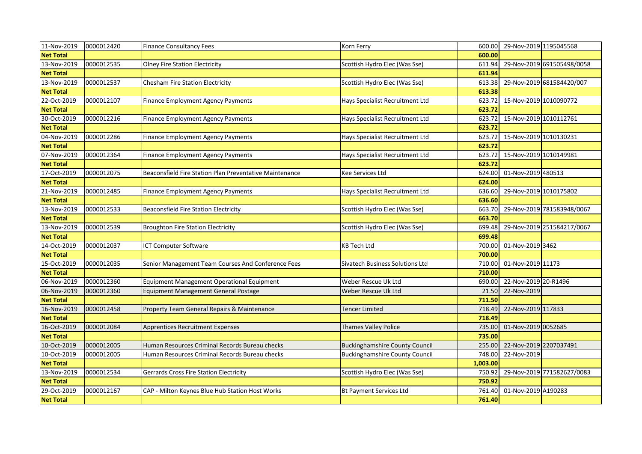| 11-Nov-2019      | 0000012420 | <b>Finance Consultancy Fees</b>                         | Korn Ferry                            | 600.00   | 29-Nov-2019 1195045568 |                            |
|------------------|------------|---------------------------------------------------------|---------------------------------------|----------|------------------------|----------------------------|
| <b>Net Total</b> |            |                                                         |                                       | 600.00   |                        |                            |
| 13-Nov-2019      | 0000012535 | <b>Olney Fire Station Electricity</b>                   | Scottish Hydro Elec (Was Sse)         | 611.94   |                        | 29-Nov-2019 691505498/0058 |
| <b>Net Total</b> |            |                                                         |                                       | 611.94   |                        |                            |
| 13-Nov-2019      | 0000012537 | Chesham Fire Station Electricity                        | Scottish Hydro Elec (Was Sse)         | 613.38   |                        | 29-Nov-2019 681584420/007  |
| <b>Net Total</b> |            |                                                         |                                       | 613.38   |                        |                            |
| 22-Oct-2019      | 0000012107 | <b>Finance Employment Agency Payments</b>               | Hays Specialist Recruitment Ltd       | 623.72   | 15-Nov-2019 1010090772 |                            |
| <b>Net Total</b> |            |                                                         |                                       | 623.72   |                        |                            |
| 30-Oct-2019      | 0000012216 | Finance Employment Agency Payments                      | Hays Specialist Recruitment Ltd       | 623.72   | 15-Nov-2019 1010112761 |                            |
| <b>Net Total</b> |            |                                                         |                                       | 623.72   |                        |                            |
| 04-Nov-2019      | 0000012286 | Finance Employment Agency Payments                      | Hays Specialist Recruitment Ltd       | 623.72   | 15-Nov-2019 1010130231 |                            |
| <b>Net Total</b> |            |                                                         |                                       | 623.72   |                        |                            |
| 07-Nov-2019      | 0000012364 | Finance Employment Agency Payments                      | Hays Specialist Recruitment Ltd       | 623.72   | 15-Nov-2019 1010149981 |                            |
| <b>Net Total</b> |            |                                                         |                                       | 623.72   |                        |                            |
| 17-Oct-2019      | 0000012075 | Beaconsfield Fire Station Plan Preventative Maintenance | <b>Kee Services Ltd</b>               | 624.00   | 01-Nov-2019 480513     |                            |
| <b>Net Total</b> |            |                                                         |                                       | 624.00   |                        |                            |
| 21-Nov-2019      | 0000012485 | Finance Employment Agency Payments                      | Hays Specialist Recruitment Ltd       | 636.60   | 29-Nov-2019 1010175802 |                            |
| <b>Net Total</b> |            |                                                         |                                       | 636.60   |                        |                            |
| 13-Nov-2019      | 0000012533 | <b>Beaconsfield Fire Station Electricity</b>            | Scottish Hydro Elec (Was Sse)         | 663.70   |                        | 29-Nov-2019 781583948/0067 |
| <b>Net Total</b> |            |                                                         |                                       | 663.70   |                        |                            |
| 13-Nov-2019      | 0000012539 | <b>Broughton Fire Station Electricity</b>               | Scottish Hydro Elec (Was Sse)         | 699.48   |                        | 29-Nov-2019 251584217/0067 |
| <b>Net Total</b> |            |                                                         |                                       | 699.48   |                        |                            |
| 14-Oct-2019      | 0000012037 | ICT Computer Software                                   | <b>KB Tech Ltd</b>                    | 700.00   | 01-Nov-2019 3462       |                            |
| <b>Net Total</b> |            |                                                         |                                       | 700.00   |                        |                            |
| 15-Oct-2019      | 0000012035 | Senior Management Team Courses And Conference Fees      | Sivatech Business Solutions Ltd       | 710.00   | 01-Nov-2019 11173      |                            |
| <b>Net Total</b> |            |                                                         |                                       | 710.00   |                        |                            |
| 06-Nov-2019      | 0000012360 | Equipment Management Operational Equipment              | Weber Rescue Uk Ltd                   | 690.00   | 22-Nov-2019 20-R1496   |                            |
| 06-Nov-2019      | 0000012360 | Equipment Management General Postage                    | Weber Rescue Uk Ltd                   | 21.50    | 22-Nov-2019            |                            |
| <b>Net Total</b> |            |                                                         |                                       | 711.50   |                        |                            |
| 16-Nov-2019      | 0000012458 | Property Team General Repairs & Maintenance             | <b>Tencer Limited</b>                 | 718.49   | 22-Nov-2019 117833     |                            |
| <b>Net Total</b> |            |                                                         |                                       | 718.49   |                        |                            |
| 16-Oct-2019      | 0000012084 | Apprentices Recruitment Expenses                        | Thames Valley Police                  | 735.00   | 01-Nov-2019 0052685    |                            |
| <b>Net Total</b> |            |                                                         |                                       | 735.00   |                        |                            |
| 10-Oct-2019      | 0000012005 | Human Resources Criminal Records Bureau checks          | <b>Buckinghamshire County Council</b> | 255.00   | 22-Nov-2019 2207037491 |                            |
| 10-Oct-2019      | 0000012005 | Human Resources Criminal Records Bureau checks          | <b>Buckinghamshire County Council</b> | 748.00   | 22-Nov-2019            |                            |
| <b>Net Total</b> |            |                                                         |                                       | 1,003.00 |                        |                            |
| 13-Nov-2019      | 0000012534 | <b>Gerrards Cross Fire Station Electricity</b>          | Scottish Hydro Elec (Was Sse)         | 750.92   |                        | 29-Nov-2019 771582627/0083 |
| <b>Net Total</b> |            |                                                         |                                       | 750.92   |                        |                            |
| 29-Oct-2019      | 0000012167 | CAP - Milton Keynes Blue Hub Station Host Works         | <b>Bt Payment Services Ltd</b>        | 761.40   | 01-Nov-2019 A190283    |                            |
| <b>Net Total</b> |            |                                                         |                                       | 761.40   |                        |                            |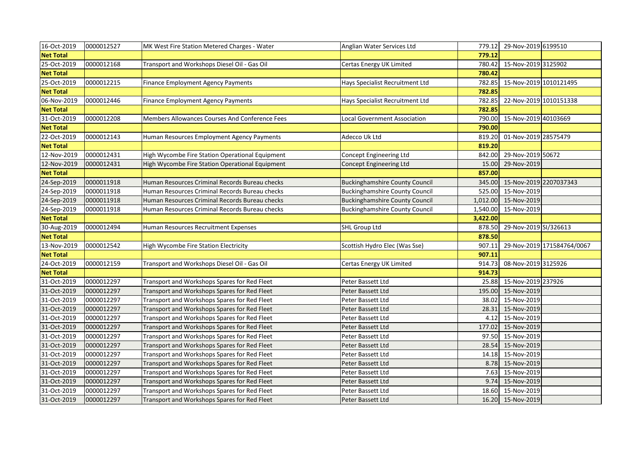| 16-Oct-2019      | 0000012527 | MK West Fire Station Metered Charges - Water    | Anglian Water Services Ltd            | 779.12   | 29-Nov-2019 6199510           |                            |
|------------------|------------|-------------------------------------------------|---------------------------------------|----------|-------------------------------|----------------------------|
| <b>Net Total</b> |            |                                                 |                                       | 779.12   |                               |                            |
| 25-Oct-2019      | 0000012168 | Transport and Workshops Diesel Oil - Gas Oil    | Certas Energy UK Limited              | 780.42   | 15-Nov-2019 3125902           |                            |
| <b>Net Total</b> |            |                                                 |                                       | 780.42   |                               |                            |
| 25-Oct-2019      | 0000012215 | Finance Employment Agency Payments              | Hays Specialist Recruitment Ltd       | 782.85   | 15-Nov-2019 1010121495        |                            |
| <b>Net Total</b> |            |                                                 |                                       | 782.85   |                               |                            |
| 06-Nov-2019      | 0000012446 | <b>Finance Employment Agency Payments</b>       | Hays Specialist Recruitment Ltd       | 782.85   | 22-Nov-2019 1010151338        |                            |
| <b>Net Total</b> |            |                                                 |                                       | 782.85   |                               |                            |
| 31-Oct-2019      | 0000012208 | Members Allowances Courses And Conference Fees  | Local Government Association          | 790.00   | 15-Nov-2019 40103669          |                            |
| <b>Net Total</b> |            |                                                 |                                       | 790.00   |                               |                            |
| 22-Oct-2019      | 0000012143 | Human Resources Employment Agency Payments      | Adecco Uk Ltd                         | 819.20   | 01-Nov-2019 28575479          |                            |
| <b>Net Total</b> |            |                                                 |                                       | 819.20   |                               |                            |
| 12-Nov-2019      | 0000012431 | High Wycombe Fire Station Operational Equipment | Concept Engineering Ltd               | 842.00   | 29-Nov-2019 50672             |                            |
| 12-Nov-2019      | 0000012431 | High Wycombe Fire Station Operational Equipment | Concept Engineering Ltd               | 15.00    | 29-Nov-2019                   |                            |
| <b>Net Total</b> |            |                                                 |                                       | 857.00   |                               |                            |
| 24-Sep-2019      | 0000011918 | Human Resources Criminal Records Bureau checks  | <b>Buckinghamshire County Council</b> |          | 345.00 15-Nov-2019 2207037343 |                            |
| 24-Sep-2019      | 0000011918 | Human Resources Criminal Records Bureau checks  | <b>Buckinghamshire County Council</b> | 525.00   | 15-Nov-2019                   |                            |
| 24-Sep-2019      | 0000011918 | Human Resources Criminal Records Bureau checks  | <b>Buckinghamshire County Council</b> |          | 1,012.00 15-Nov-2019          |                            |
| 24-Sep-2019      | 0000011918 | Human Resources Criminal Records Bureau checks  | <b>Buckinghamshire County Council</b> | 1,540.00 | 15-Nov-2019                   |                            |
| <b>Net Total</b> |            |                                                 |                                       | 3,422.00 |                               |                            |
| 30-Aug-2019      | 0000012494 | Human Resources Recruitment Expenses            | <b>SHL Group Ltd</b>                  | 878.50   | 29-Nov-2019 SI/326613         |                            |
| <b>Net Total</b> |            |                                                 |                                       | 878.50   |                               |                            |
| 13-Nov-2019      | 0000012542 | High Wycombe Fire Station Electricity           | Scottish Hydro Elec (Was Sse)         | 907.11   |                               | 29-Nov-2019 171584764/0067 |
| <b>Net Total</b> |            |                                                 |                                       | 907.11   |                               |                            |
| 24-Oct-2019      | 0000012159 | Transport and Workshops Diesel Oil - Gas Oil    | Certas Energy UK Limited              | 914.73   | 08-Nov-2019 3125926           |                            |
| <b>Net Total</b> |            |                                                 |                                       | 914.73   |                               |                            |
| 31-Oct-2019      | 0000012297 | Transport and Workshops Spares for Red Fleet    | Peter Bassett Ltd                     | 25.88    | 15-Nov-2019 237926            |                            |
| 31-Oct-2019      | 0000012297 | Transport and Workshops Spares for Red Fleet    | Peter Bassett Ltd                     |          | 195.00 15-Nov-2019            |                            |
| 31-Oct-2019      | 0000012297 | Transport and Workshops Spares for Red Fleet    | Peter Bassett Ltd                     |          | 38.02 15-Nov-2019             |                            |
| 31-Oct-2019      | 0000012297 | Transport and Workshops Spares for Red Fleet    | Peter Bassett Ltd                     |          | 28.31 15-Nov-2019             |                            |
| 31-Oct-2019      | 0000012297 | Transport and Workshops Spares for Red Fleet    | Peter Bassett Ltd                     |          | 4.12 15-Nov-2019              |                            |
| 31-Oct-2019      | 0000012297 | Transport and Workshops Spares for Red Fleet    | Peter Bassett Ltd                     |          | 177.02 15-Nov-2019            |                            |
| 31-Oct-2019      | 0000012297 | Transport and Workshops Spares for Red Fleet    | Peter Bassett Ltd                     |          | 97.50 15-Nov-2019             |                            |
| 31-Oct-2019      | 0000012297 | Transport and Workshops Spares for Red Fleet    | Peter Bassett Ltd                     | 28.54    | 15-Nov-2019                   |                            |
| 31-Oct-2019      | 0000012297 | Transport and Workshops Spares for Red Fleet    | Peter Bassett Ltd                     | 14.18    | 15-Nov-2019                   |                            |
| 31-Oct-2019      | 0000012297 | Transport and Workshops Spares for Red Fleet    | Peter Bassett Ltd                     | 8.78     | 15-Nov-2019                   |                            |
| 31-Oct-2019      | 0000012297 | Transport and Workshops Spares for Red Fleet    | Peter Bassett Ltd                     |          | 7.63 15-Nov-2019              |                            |
| 31-Oct-2019      | 0000012297 | Transport and Workshops Spares for Red Fleet    | Peter Bassett Ltd                     |          | 9.74 15-Nov-2019              |                            |
| 31-Oct-2019      | 0000012297 | Transport and Workshops Spares for Red Fleet    | Peter Bassett Ltd                     |          | 18.60 15-Nov-2019             |                            |
| 31-Oct-2019      | 0000012297 | Transport and Workshops Spares for Red Fleet    | Peter Bassett Ltd                     |          | 16.20 15-Nov-2019             |                            |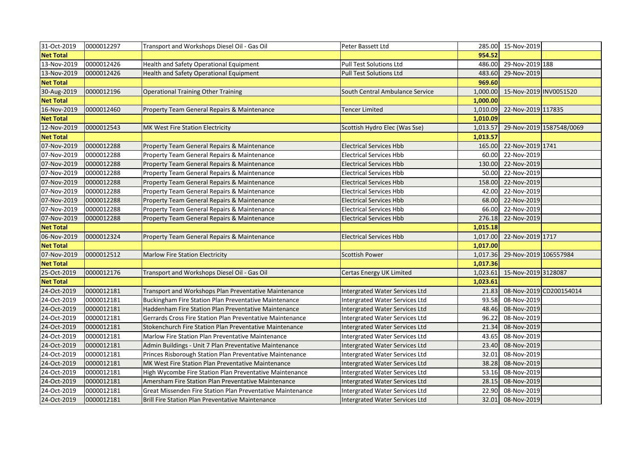| 31-Oct-2019      | 0000012297 | Transport and Workshops Diesel Oil - Gas Oil               | Peter Bassett Ltd                     |          | 285.00 15-Nov-2019     |                          |
|------------------|------------|------------------------------------------------------------|---------------------------------------|----------|------------------------|--------------------------|
| <b>Net Total</b> |            |                                                            |                                       | 954.52   |                        |                          |
| 13-Nov-2019      | 0000012426 | Health and Safety Operational Equipment                    | Pull Test Solutions Ltd               | 486.00   | 29-Nov-2019 188        |                          |
| 13-Nov-2019      | 0000012426 | Health and Safety Operational Equipment                    | <b>Pull Test Solutions Ltd</b>        | 483.60   | 29-Nov-2019            |                          |
| <b>Net Total</b> |            |                                                            |                                       | 969.60   |                        |                          |
| 30-Aug-2019      | 0000012196 | <b>Operational Training Other Training</b>                 | South Central Ambulance Service       | 1,000.00 | 15-Nov-2019 INV0051520 |                          |
| <b>Net Total</b> |            |                                                            |                                       | 1,000.00 |                        |                          |
| 16-Nov-2019      | 0000012460 | Property Team General Repairs & Maintenance                | Tencer Limited                        | 1,010.09 | 22-Nov-2019 117835     |                          |
| <b>Net Total</b> |            |                                                            |                                       | 1,010.09 |                        |                          |
| 12-Nov-2019      | 0000012543 | MK West Fire Station Electricity                           | Scottish Hydro Elec (Was Sse)         | 1,013.57 |                        | 29-Nov-2019 1587548/0069 |
| <b>Net Total</b> |            |                                                            |                                       | 1,013.57 |                        |                          |
| 07-Nov-2019      | 0000012288 | Property Team General Repairs & Maintenance                | <b>Electrical Services Hbb</b>        | 165.00   | 22-Nov-2019 1741       |                          |
| 07-Nov-2019      | 0000012288 | Property Team General Repairs & Maintenance                | <b>Electrical Services Hbb</b>        | 60.00    | 22-Nov-2019            |                          |
| 07-Nov-2019      | 0000012288 | Property Team General Repairs & Maintenance                | <b>Electrical Services Hbb</b>        |          | 130.00 22-Nov-2019     |                          |
| 07-Nov-2019      | 0000012288 | Property Team General Repairs & Maintenance                | <b>Electrical Services Hbb</b>        |          | 50.00 22-Nov-2019      |                          |
| 07-Nov-2019      | 0000012288 | Property Team General Repairs & Maintenance                | <b>Electrical Services Hbb</b>        |          | 158.00 22-Nov-2019     |                          |
| 07-Nov-2019      | 0000012288 | Property Team General Repairs & Maintenance                | <b>Electrical Services Hbb</b>        |          | 42.00 22-Nov-2019      |                          |
| 07-Nov-2019      | 0000012288 | Property Team General Repairs & Maintenance                | <b>Electrical Services Hbb</b>        |          | 68.00 22-Nov-2019      |                          |
| 07-Nov-2019      | 0000012288 | Property Team General Repairs & Maintenance                | <b>Electrical Services Hbb</b>        | 66.00    | 22-Nov-2019            |                          |
| 07-Nov-2019      | 0000012288 | Property Team General Repairs & Maintenance                | <b>Electrical Services Hbb</b>        | 276.18   | 22-Nov-2019            |                          |
| <b>Net Total</b> |            |                                                            |                                       | 1,015.18 |                        |                          |
| 06-Nov-2019      | 0000012324 | Property Team General Repairs & Maintenance                | <b>Electrical Services Hbb</b>        | 1,017.00 | 22-Nov-2019 1717       |                          |
| <b>Net Total</b> |            |                                                            |                                       | 1,017.00 |                        |                          |
| 07-Nov-2019      | 0000012512 | <b>Marlow Fire Station Electricity</b>                     | <b>Scottish Power</b>                 | 1,017.36 | 29-Nov-2019 106557984  |                          |
| <b>Net Total</b> |            |                                                            |                                       | 1,017.36 |                        |                          |
| 25-Oct-2019      | 0000012176 | Transport and Workshops Diesel Oil - Gas Oil               | Certas Energy UK Limited              | 1,023.61 | 15-Nov-2019 3128087    |                          |
| <b>Net Total</b> |            |                                                            |                                       | 1,023.61 |                        |                          |
| 24-Oct-2019      | 0000012181 | Transport and Workshops Plan Preventative Maintenance      | <b>Intergrated Water Services Ltd</b> | 21.83    |                        | 08-Nov-2019 CD200154014  |
| 24-Oct-2019      | 0000012181 | Buckingham Fire Station Plan Preventative Maintenance      | Intergrated Water Services Ltd        | 93.58    | 08-Nov-2019            |                          |
| 24-Oct-2019      | 0000012181 | Haddenham Fire Station Plan Preventative Maintenance       | Intergrated Water Services Ltd        | 48.46    | 08-Nov-2019            |                          |
| 24-Oct-2019      | 0000012181 | Gerrards Cross Fire Station Plan Preventative Maintenance  | Intergrated Water Services Ltd        | 96.22    | 08-Nov-2019            |                          |
| 24-Oct-2019      | 0000012181 | Stokenchurch Fire Station Plan Preventative Maintenance    | Intergrated Water Services Ltd        | 21.34    | 08-Nov-2019            |                          |
| 24-Oct-2019      | 0000012181 | Marlow Fire Station Plan Preventative Maintenance          | Intergrated Water Services Ltd        | 43.65    | 08-Nov-2019            |                          |
| 24-Oct-2019      | 0000012181 | Admin Buildings - Unit 7 Plan Preventative Maintenance     | <b>Intergrated Water Services Ltd</b> | 23.40    | 08-Nov-2019            |                          |
| 24-Oct-2019      | 0000012181 | Princes Risborough Station Plan Preventative Maintenance   | Intergrated Water Services Ltd        | 32.01    | 08-Nov-2019            |                          |
| 24-Oct-2019      | 0000012181 | MK West Fire Station Plan Preventative Maintenance         | <b>Intergrated Water Services Ltd</b> | 38.28    | 08-Nov-2019            |                          |
| 24-Oct-2019      | 0000012181 | High Wycombe Fire Station Plan Preventative Maintenance    | Intergrated Water Services Ltd        | 53.16    | 08-Nov-2019            |                          |
| 24-Oct-2019      | 0000012181 | Amersham Fire Station Plan Preventative Maintenance        | Intergrated Water Services Ltd        | 28.15    | 08-Nov-2019            |                          |
| 24-Oct-2019      | 0000012181 | Great Missenden Fire Station Plan Preventative Maintenance | Intergrated Water Services Ltd        |          | 22.90 08-Nov-2019      |                          |
| 24-Oct-2019      | 0000012181 | <b>Brill Fire Station Plan Preventative Maintenance</b>    | <b>Intergrated Water Services Ltd</b> |          | 32.01 08-Nov-2019      |                          |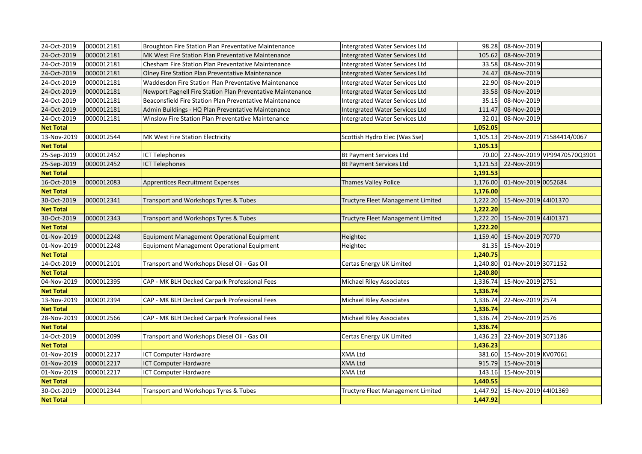| 24-Oct-2019      | 0000012181 | Broughton Fire Station Plan Preventative Maintenance       | Intergrated Water Services Ltd    | 98.28    | 08-Nov-2019          |                             |
|------------------|------------|------------------------------------------------------------|-----------------------------------|----------|----------------------|-----------------------------|
| 24-Oct-2019      | 0000012181 | MK West Fire Station Plan Preventative Maintenance         | Intergrated Water Services Ltd    | 105.62   | 08-Nov-2019          |                             |
| 24-Oct-2019      | 0000012181 | Chesham Fire Station Plan Preventative Maintenance         | Intergrated Water Services Ltd    | 33.58    | 08-Nov-2019          |                             |
| 24-Oct-2019      | 0000012181 | Olney Fire Station Plan Preventative Maintenance           | Intergrated Water Services Ltd    | 24.47    | 08-Nov-2019          |                             |
| 24-Oct-2019      | 0000012181 | Waddesdon Fire Station Plan Preventative Maintenance       | Intergrated Water Services Ltd    | 22.90    | 08-Nov-2019          |                             |
| 24-Oct-2019      | 0000012181 | Newport Pagnell Fire Station Plan Preventative Maintenance | Intergrated Water Services Ltd    | 33.58    | 08-Nov-2019          |                             |
| 24-Oct-2019      | 0000012181 | Beaconsfield Fire Station Plan Preventative Maintenance    | Intergrated Water Services Ltd    | 35.15    | 08-Nov-2019          |                             |
| 24-Oct-2019      | 0000012181 | Admin Buildings - HQ Plan Preventative Maintenance         | Intergrated Water Services Ltd    | 111.47   | 08-Nov-2019          |                             |
| 24-Oct-2019      | 0000012181 | Winslow Fire Station Plan Preventative Maintenance         | Intergrated Water Services Ltd    | 32.01    | 08-Nov-2019          |                             |
| <b>Net Total</b> |            |                                                            |                                   | 1,052.05 |                      |                             |
| 13-Nov-2019      | 0000012544 | MK West Fire Station Electricity                           | Scottish Hydro Elec (Was Sse)     | 1,105.13 |                      | 29-Nov-2019 71584414/0067   |
| <b>Net Total</b> |            |                                                            |                                   | 1,105.13 |                      |                             |
| 25-Sep-2019      | 0000012452 | <b>ICT Telephones</b>                                      | <b>Bt Payment Services Ltd</b>    | 70.00    |                      | 22-Nov-2019 VP99470570Q3901 |
| 25-Sep-2019      | 0000012452 | <b>ICT Telephones</b>                                      | <b>Bt Payment Services Ltd</b>    | 1,121.53 | 22-Nov-2019          |                             |
| <b>Net Total</b> |            |                                                            |                                   | 1,191.53 |                      |                             |
| 16-Oct-2019      | 0000012083 | Apprentices Recruitment Expenses                           | Thames Valley Police              | 1,176.00 | 01-Nov-2019 0052684  |                             |
| <b>Net Total</b> |            |                                                            |                                   | 1,176.00 |                      |                             |
| 30-Oct-2019      | 0000012341 | Transport and Workshops Tyres & Tubes                      | Tructyre Fleet Management Limited | 1,222.20 | 15-Nov-2019 44101370 |                             |
| <b>Net Total</b> |            |                                                            |                                   | 1,222.20 |                      |                             |
| 30-Oct-2019      | 0000012343 | Transport and Workshops Tyres & Tubes                      | Tructyre Fleet Management Limited | 1,222.20 | 15-Nov-2019 44101371 |                             |
| <b>Net Total</b> |            |                                                            |                                   | 1,222.20 |                      |                             |
| 01-Nov-2019      | 0000012248 | Equipment Management Operational Equipment                 | Heightec                          | 1,159.40 | 15-Nov-2019 70770    |                             |
| 01-Nov-2019      | 0000012248 | Equipment Management Operational Equipment                 | Heightec                          | 81.35    | 15-Nov-2019          |                             |
| <b>Net Total</b> |            |                                                            |                                   | 1,240.75 |                      |                             |
| 14-Oct-2019      | 0000012101 | Transport and Workshops Diesel Oil - Gas Oil               | Certas Energy UK Limited          | 1,240.80 | 01-Nov-2019 3071152  |                             |
| <b>Net Total</b> |            |                                                            |                                   | 1,240.80 |                      |                             |
| 04-Nov-2019      | 0000012395 | CAP - MK BLH Decked Carpark Professional Fees              | <b>Michael Riley Associates</b>   | 1,336.74 | 15-Nov-2019 2751     |                             |
| <b>Net Total</b> |            |                                                            |                                   | 1,336.74 |                      |                             |
| 13-Nov-2019      | 0000012394 | CAP - MK BLH Decked Carpark Professional Fees              | <b>Michael Riley Associates</b>   | 1,336.74 | 22-Nov-2019 2574     |                             |
| <b>Net Total</b> |            |                                                            |                                   | 1,336.74 |                      |                             |
| 28-Nov-2019      | 0000012566 | CAP - MK BLH Decked Carpark Professional Fees              | Michael Riley Associates          | 1,336.74 | 29-Nov-2019 2576     |                             |
| <b>Net Total</b> |            |                                                            |                                   | 1,336.74 |                      |                             |
| 14-Oct-2019      | 0000012099 | Transport and Workshops Diesel Oil - Gas Oil               | Certas Energy UK Limited          | 1,436.23 | 22-Nov-2019 3071186  |                             |
| <b>Net Total</b> |            |                                                            |                                   | 1,436.23 |                      |                             |
| 01-Nov-2019      | 0000012217 | <b>ICT Computer Hardware</b>                               | XMA Ltd                           | 381.60   | 15-Nov-2019 KV07061  |                             |
| 01-Nov-2019      | 0000012217 | <b>ICT Computer Hardware</b>                               | <b>XMA Ltd</b>                    |          | 915.79 15-Nov-2019   |                             |
| 01-Nov-2019      | 0000012217 | <b>ICT Computer Hardware</b>                               | <b>XMA Ltd</b>                    | 143.16   | 15-Nov-2019          |                             |
| <b>Net Total</b> |            |                                                            |                                   | 1,440.55 |                      |                             |
| 30-Oct-2019      | 0000012344 | Transport and Workshops Tyres & Tubes                      | Tructyre Fleet Management Limited | 1,447.92 | 15-Nov-2019 44l01369 |                             |
| <b>Net Total</b> |            |                                                            |                                   | 1,447.92 |                      |                             |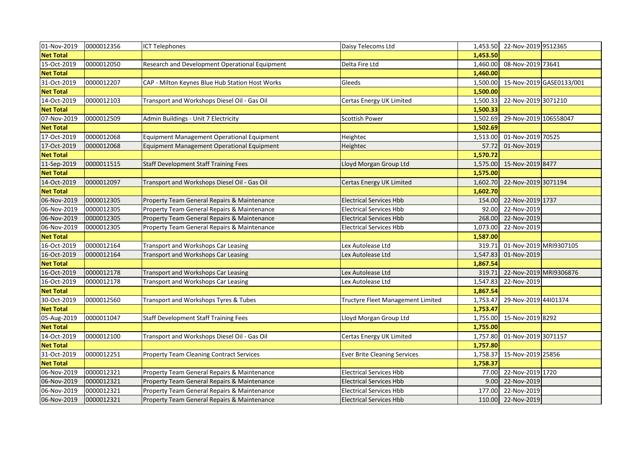| 01-Nov-2019      | 0000012356 | <b>ICT Telephones</b>                           | Daisy Telecoms Ltd                  |          | 1,453.50 22-Nov-2019 9512365 |                          |
|------------------|------------|-------------------------------------------------|-------------------------------------|----------|------------------------------|--------------------------|
| <b>Net Total</b> |            |                                                 |                                     | 1,453.50 |                              |                          |
| 15-Oct-2019      | 0000012050 | Research and Development Operational Equipment  | Delta Fire Ltd                      | 1,460.00 | 08-Nov-2019 73641            |                          |
| <b>Net Total</b> |            |                                                 |                                     | 1,460.00 |                              |                          |
| 31-Oct-2019      | 0000012207 | CAP - Milton Keynes Blue Hub Station Host Works | Gleeds                              | 1,500.00 |                              | 15-Nov-2019 GASE0133/001 |
| <b>Net Total</b> |            |                                                 |                                     | 1,500.00 |                              |                          |
| 14-Oct-2019      | 0000012103 | Transport and Workshops Diesel Oil - Gas Oil    | Certas Energy UK Limited            | 1,500.33 | 22-Nov-2019 3071210          |                          |
| <b>Net Total</b> |            |                                                 |                                     | 1,500.33 |                              |                          |
| 07-Nov-2019      | 0000012509 | Admin Buildings - Unit 7 Electricity            | Scottish Power                      | 1,502.69 | 29-Nov-2019 106558047        |                          |
| <b>Net Total</b> |            |                                                 |                                     | 1,502.69 |                              |                          |
| 17-Oct-2019      | 0000012068 | Equipment Management Operational Equipment      | Heightec                            | 1,513.00 | 01-Nov-2019 70525            |                          |
| 17-Oct-2019      | 0000012068 | Equipment Management Operational Equipment      | Heightec                            | 57.72    | 01-Nov-2019                  |                          |
| <b>Net Total</b> |            |                                                 |                                     | 1,570.72 |                              |                          |
| 11-Sep-2019      | 0000011515 | <b>Staff Development Staff Training Fees</b>    | Lloyd Morgan Group Ltd              | 1,575.00 | 15-Nov-2019 8477             |                          |
| <b>Net Total</b> |            |                                                 |                                     | 1,575.00 |                              |                          |
| 14-Oct-2019      | 0000012097 | Transport and Workshops Diesel Oil - Gas Oil    | Certas Energy UK Limited            | 1,602.70 | 22-Nov-2019 3071194          |                          |
| <b>Net Total</b> |            |                                                 |                                     | 1,602.70 |                              |                          |
| 06-Nov-2019      | 0000012305 | Property Team General Repairs & Maintenance     | <b>Electrical Services Hbb</b>      | 154.00   | 22-Nov-2019 1737             |                          |
| 06-Nov-2019      | 0000012305 | Property Team General Repairs & Maintenance     | <b>Electrical Services Hbb</b>      | 92.00    | 22-Nov-2019                  |                          |
| 06-Nov-2019      | 0000012305 | Property Team General Repairs & Maintenance     | <b>Electrical Services Hbb</b>      | 268.00   | 22-Nov-2019                  |                          |
| 06-Nov-2019      | 0000012305 | Property Team General Repairs & Maintenance     | <b>Electrical Services Hbb</b>      | 1,073.00 | 22-Nov-2019                  |                          |
| <b>Net Total</b> |            |                                                 |                                     | 1,587.00 |                              |                          |
| 16-Oct-2019      | 0000012164 | Transport and Workshops Car Leasing             | Lex Autolease Ltd                   | 319.71   | 01-Nov-2019 MRI9307105       |                          |
| 16-Oct-2019      | 0000012164 | Transport and Workshops Car Leasing             | Lex Autolease Ltd                   | 1,547.83 | 01-Nov-2019                  |                          |
| <b>Net Total</b> |            |                                                 |                                     | 1,867.54 |                              |                          |
| 16-Oct-2019      | 0000012178 | Transport and Workshops Car Leasing             | Lex Autolease Ltd                   | 319.71   | 22-Nov-2019 MRI9306876       |                          |
| 16-Oct-2019      | 0000012178 | Transport and Workshops Car Leasing             | Lex Autolease Ltd                   | 1,547.83 | 22-Nov-2019                  |                          |
| <b>Net Total</b> |            |                                                 |                                     | 1,867.54 |                              |                          |
| 30-Oct-2019      | 0000012560 | Transport and Workshops Tyres & Tubes           | Tructyre Fleet Management Limited   | 1,753.47 | 29-Nov-2019 44101374         |                          |
| <b>Net Total</b> |            |                                                 |                                     | 1,753.47 |                              |                          |
| 05-Aug-2019      | 0000011047 | <b>Staff Development Staff Training Fees</b>    | Lloyd Morgan Group Ltd              |          | 1,755.00 15-Nov-2019 8292    |                          |
| <b>Net Total</b> |            |                                                 |                                     | 1,755.00 |                              |                          |
| 14-Oct-2019      | 0000012100 | Transport and Workshops Diesel Oil - Gas Oil    | Certas Energy UK Limited            | 1,757.80 | 01-Nov-2019 3071157          |                          |
| <b>Net Total</b> |            |                                                 |                                     | 1,757.80 |                              |                          |
| 31-Oct-2019      | 0000012251 | <b>Property Team Cleaning Contract Services</b> | <b>Ever Brite Cleaning Services</b> | 1,758.37 | 15-Nov-2019 25856            |                          |
| <b>Net Total</b> |            |                                                 |                                     | 1,758.37 |                              |                          |
| 06-Nov-2019      | 0000012321 | Property Team General Repairs & Maintenance     | <b>Electrical Services Hbb</b>      | 77.00    | 22-Nov-2019 1720             |                          |
| 06-Nov-2019      | 0000012321 | Property Team General Repairs & Maintenance     | <b>Electrical Services Hbb</b>      | 9.00     | 22-Nov-2019                  |                          |
| 06-Nov-2019      | 0000012321 | Property Team General Repairs & Maintenance     | <b>Electrical Services Hbb</b>      | 177.00   | 22-Nov-2019                  |                          |
| 06-Nov-2019      | 0000012321 | Property Team General Repairs & Maintenance     | <b>Electrical Services Hbb</b>      |          | 110.00 22-Nov-2019           |                          |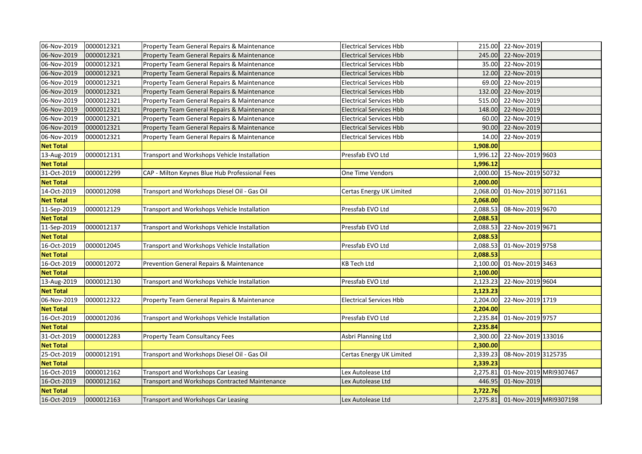| 06-Nov-2019      | 0000012321 | Property Team General Repairs & Maintenance    | <b>Electrical Services Hbb</b> |          | 215.00 22-Nov-2019              |  |
|------------------|------------|------------------------------------------------|--------------------------------|----------|---------------------------------|--|
| 06-Nov-2019      | 0000012321 | Property Team General Repairs & Maintenance    | <b>Electrical Services Hbb</b> |          | 245.00 22-Nov-2019              |  |
| 06-Nov-2019      | 0000012321 | Property Team General Repairs & Maintenance    | <b>Electrical Services Hbb</b> |          | 35.00 22-Nov-2019               |  |
| 06-Nov-2019      | 0000012321 | Property Team General Repairs & Maintenance    | <b>Electrical Services Hbb</b> |          | 12.00 22-Nov-2019               |  |
| 06-Nov-2019      | 0000012321 | Property Team General Repairs & Maintenance    | <b>Electrical Services Hbb</b> |          | 69.00 22-Nov-2019               |  |
| 06-Nov-2019      | 0000012321 | Property Team General Repairs & Maintenance    | <b>Electrical Services Hbb</b> |          | 132.00 22-Nov-2019              |  |
| 06-Nov-2019      | 0000012321 | Property Team General Repairs & Maintenance    | <b>Electrical Services Hbb</b> | 515.00   | 22-Nov-2019                     |  |
| 06-Nov-2019      | 0000012321 | Property Team General Repairs & Maintenance    | <b>Electrical Services Hbb</b> |          | 148.00 22-Nov-2019              |  |
| 06-Nov-2019      | 0000012321 | Property Team General Repairs & Maintenance    | <b>Electrical Services Hbb</b> | 60.00    | 22-Nov-2019                     |  |
| 06-Nov-2019      | 0000012321 | Property Team General Repairs & Maintenance    | <b>Electrical Services Hbb</b> | 90.00    | 22-Nov-2019                     |  |
| 06-Nov-2019      | 0000012321 | Property Team General Repairs & Maintenance    | <b>Electrical Services Hbb</b> | 14.00    | 22-Nov-2019                     |  |
| <b>Net Total</b> |            |                                                |                                | 1,908.00 |                                 |  |
| 13-Aug-2019      | 0000012131 | Transport and Workshops Vehicle Installation   | Pressfab EVO Ltd               | 1,996.12 | 22-Nov-2019 9603                |  |
| <b>Net Total</b> |            |                                                |                                | 1,996.12 |                                 |  |
| 31-Oct-2019      | 0000012299 | CAP - Milton Keynes Blue Hub Professional Fees | <b>One Time Vendors</b>        | 2,000.00 | 15-Nov-2019 50732               |  |
| <b>Net Total</b> |            |                                                |                                | 2,000.00 |                                 |  |
| 14-Oct-2019      | 0000012098 | Transport and Workshops Diesel Oil - Gas Oil   | Certas Energy UK Limited       | 2,068.00 | 01-Nov-2019 3071161             |  |
| <b>Net Total</b> |            |                                                |                                | 2,068.00 |                                 |  |
| 11-Sep-2019      | 0000012129 | Transport and Workshops Vehicle Installation   | Pressfab EVO Ltd               | 2,088.53 | 08-Nov-2019 9670                |  |
| <b>Net Total</b> |            |                                                |                                | 2,088.53 |                                 |  |
| 11-Sep-2019      | 0000012137 | Transport and Workshops Vehicle Installation   | Pressfab EVO Ltd               | 2,088.53 | 22-Nov-2019 9671                |  |
| <b>Net Total</b> |            |                                                |                                | 2,088.53 |                                 |  |
| 16-Oct-2019      | 0000012045 | Transport and Workshops Vehicle Installation   | Pressfab EVO Ltd               | 2,088.53 | 01-Nov-2019 9758                |  |
| <b>Net Total</b> |            |                                                |                                | 2,088.53 |                                 |  |
| 16-Oct-2019      | 0000012072 | Prevention General Repairs & Maintenance       | <b>KB Tech Ltd</b>             | 2,100.00 | 01-Nov-2019 3463                |  |
| <b>Net Total</b> |            |                                                |                                | 2,100.00 |                                 |  |
| 13-Aug-2019      | 0000012130 | Transport and Workshops Vehicle Installation   | Pressfab EVO Ltd               | 2,123.23 | 22-Nov-2019 9604                |  |
| <b>Net Total</b> |            |                                                |                                | 2,123.23 |                                 |  |
| 06-Nov-2019      | 0000012322 | Property Team General Repairs & Maintenance    | <b>Electrical Services Hbb</b> | 2,204.00 | 22-Nov-2019 1719                |  |
| <b>Net Total</b> |            |                                                |                                | 2,204.00 |                                 |  |
| 16-Oct-2019      | 0000012036 | Transport and Workshops Vehicle Installation   | Pressfab EVO Ltd               | 2,235.84 | 01-Nov-2019 9757                |  |
| <b>Net Total</b> |            |                                                |                                | 2,235.84 |                                 |  |
| 31-Oct-2019      | 0000012283 | Property Team Consultancy Fees                 | Asbri Planning Ltd             | 2,300.00 | 22-Nov-2019 133016              |  |
| <b>Net Total</b> |            |                                                |                                | 2,300.00 |                                 |  |
| 25-Oct-2019      | 0000012191 | Transport and Workshops Diesel Oil - Gas Oil   | Certas Energy UK Limited       | 2,339.23 | 08-Nov-2019 3125735             |  |
| <b>Net Total</b> |            |                                                |                                | 2,339.23 |                                 |  |
| 16-Oct-2019      | 0000012162 | Transport and Workshops Car Leasing            | Lex Autolease Ltd              | 2,275.81 | 01-Nov-2019 MRI9307467          |  |
| 16-Oct-2019      | 0000012162 | Transport and Workshops Contracted Maintenance | Lex Autolease Ltd              | 446.95   | 01-Nov-2019                     |  |
| <b>Net Total</b> |            |                                                |                                | 2,722.76 |                                 |  |
| 16-Oct-2019      | 0000012163 | <b>Transport and Workshops Car Leasing</b>     | Lex Autolease Ltd              |          | 2,275.81 01-Nov-2019 MRI9307198 |  |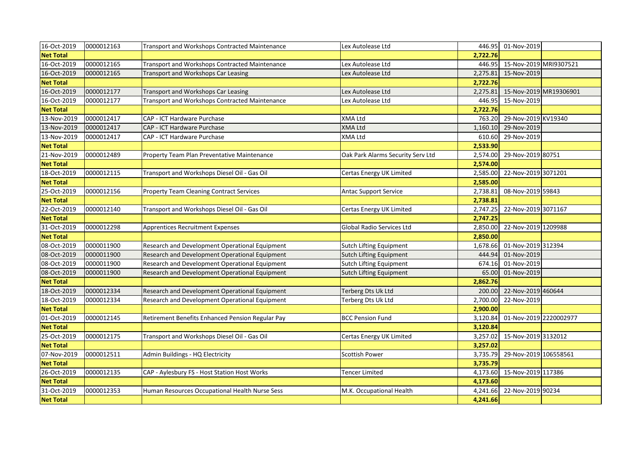| 16-Oct-2019      | 0000012163 | Transport and Workshops Contracted Maintenance   | Lex Autolease Ltd                 |          | 446.95 01-Nov-2019     |                        |
|------------------|------------|--------------------------------------------------|-----------------------------------|----------|------------------------|------------------------|
| <b>Net Total</b> |            |                                                  |                                   | 2,722.76 |                        |                        |
| 16-Oct-2019      | 0000012165 | Transport and Workshops Contracted Maintenance   | Lex Autolease Ltd                 | 446.95   | 15-Nov-2019 MRI9307521 |                        |
| 16-Oct-2019      | 0000012165 | Transport and Workshops Car Leasing              | Lex Autolease Ltd                 | 2,275.81 | 15-Nov-2019            |                        |
| <b>Net Total</b> |            |                                                  |                                   | 2,722.76 |                        |                        |
| 16-Oct-2019      | 0000012177 | <b>Transport and Workshops Car Leasing</b>       | Lex Autolease Ltd                 | 2,275.81 |                        | 15-Nov-2019 MR19306901 |
| 16-Oct-2019      | 0000012177 | Transport and Workshops Contracted Maintenance   | Lex Autolease Ltd                 | 446.95   | 15-Nov-2019            |                        |
| <b>Net Total</b> |            |                                                  |                                   | 2,722.76 |                        |                        |
| 13-Nov-2019      | 0000012417 | CAP - ICT Hardware Purchase                      | <b>XMA Ltd</b>                    | 763.20   | 29-Nov-2019 KV19340    |                        |
| 13-Nov-2019      | 0000012417 | CAP - ICT Hardware Purchase                      | <b>XMA Ltd</b>                    | 1,160.10 | 29-Nov-2019            |                        |
| 13-Nov-2019      | 0000012417 | CAP - ICT Hardware Purchase                      | <b>XMA Ltd</b>                    | 610.60   | 29-Nov-2019            |                        |
| <b>Net Total</b> |            |                                                  |                                   | 2,533.90 |                        |                        |
| 21-Nov-2019      | 0000012489 | Property Team Plan Preventative Maintenance      | Oak Park Alarms Security Serv Ltd | 2,574.00 | 29-Nov-2019 80751      |                        |
| <b>Net Total</b> |            |                                                  |                                   | 2,574.00 |                        |                        |
| 18-Oct-2019      | 0000012115 | Transport and Workshops Diesel Oil - Gas Oil     | Certas Energy UK Limited          | 2,585.00 | 22-Nov-2019 3071201    |                        |
| <b>Net Total</b> |            |                                                  |                                   | 2,585.00 |                        |                        |
| 25-Oct-2019      | 0000012156 | <b>Property Team Cleaning Contract Services</b>  | <b>Antac Support Service</b>      | 2,738.81 | 08-Nov-2019 59843      |                        |
| <b>Net Total</b> |            |                                                  |                                   | 2,738.81 |                        |                        |
| 22-Oct-2019      | 0000012140 | Transport and Workshops Diesel Oil - Gas Oil     | Certas Energy UK Limited          | 2,747.25 | 22-Nov-2019 3071167    |                        |
| <b>Net Total</b> |            |                                                  |                                   | 2,747.25 |                        |                        |
| 31-Oct-2019      | 0000012298 | <b>Apprentices Recruitment Expenses</b>          | Global Radio Services Ltd         | 2,850.00 | 22-Nov-2019 1209988    |                        |
| <b>Net Total</b> |            |                                                  |                                   | 2,850.00 |                        |                        |
| 08-Oct-2019      | 0000011900 | Research and Development Operational Equipment   | <b>Sutch Lifting Equipment</b>    | 1,678.66 | 01-Nov-2019 312394     |                        |
| 08-Oct-2019      | 0000011900 | Research and Development Operational Equipment   | Sutch Lifting Equipment           | 444.94   | 01-Nov-2019            |                        |
| 08-Oct-2019      | 0000011900 | Research and Development Operational Equipment   | <b>Sutch Lifting Equipment</b>    | 674.16   | 01-Nov-2019            |                        |
| 08-Oct-2019      | 0000011900 | Research and Development Operational Equipment   | <b>Sutch Lifting Equipment</b>    | 65.00    | 01-Nov-2019            |                        |
| <b>Net Total</b> |            |                                                  |                                   | 2,862.76 |                        |                        |
| 18-Oct-2019      | 0000012334 | Research and Development Operational Equipment   | Terberg Dts Uk Ltd                | 200.00   | 22-Nov-2019 460644     |                        |
| 18-Oct-2019      | 0000012334 | Research and Development Operational Equipment   | Terberg Dts Uk Ltd                | 2,700.00 | 22-Nov-2019            |                        |
| <b>Net Total</b> |            |                                                  |                                   | 2,900.00 |                        |                        |
| 01-Oct-2019      | 0000012145 | Retirement Benefits Enhanced Pension Regular Pay | <b>BCC Pension Fund</b>           | 3,120.84 | 01-Nov-2019 2220002977 |                        |
| <b>Net Total</b> |            |                                                  |                                   | 3,120.84 |                        |                        |
| 25-Oct-2019      | 0000012175 | Transport and Workshops Diesel Oil - Gas Oil     | Certas Energy UK Limited          | 3,257.02 | 15-Nov-2019 3132012    |                        |
| <b>Net Total</b> |            |                                                  |                                   | 3,257.02 |                        |                        |
| 07-Nov-2019      | 0000012511 | Admin Buildings - HQ Electricity                 | Scottish Power                    | 3,735.79 | 29-Nov-2019 106558561  |                        |
| <b>Net Total</b> |            |                                                  |                                   | 3,735.79 |                        |                        |
| 26-Oct-2019      | 0000012135 | CAP - Aylesbury FS - Host Station Host Works     | Tencer Limited                    | 4,173.60 | 15-Nov-2019 117386     |                        |
| <b>Net Total</b> |            |                                                  |                                   | 4,173.60 |                        |                        |
| 31-Oct-2019      | 0000012353 | Human Resources Occupational Health Nurse Sess   | M.K. Occupational Health          | 4,241.66 | 22-Nov-2019 90234      |                        |
| <b>Net Total</b> |            |                                                  |                                   | 4,241.66 |                        |                        |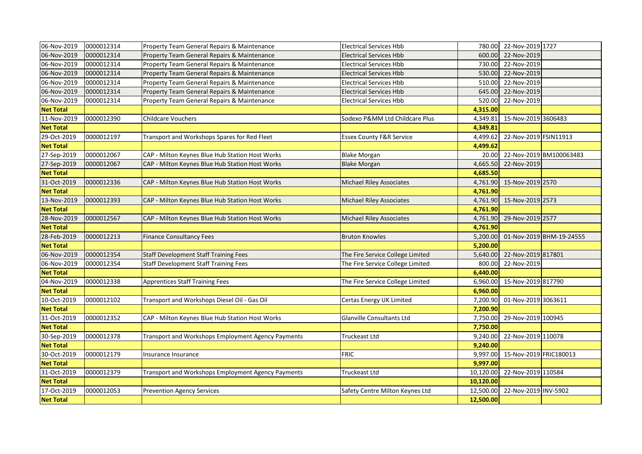| 06-Nov-2019      | 0000012314 | Property Team General Repairs & Maintenance        | <b>Electrical Services Hbb</b>      |           | 780.00 22-Nov-2019 1727   |                          |
|------------------|------------|----------------------------------------------------|-------------------------------------|-----------|---------------------------|--------------------------|
| 06-Nov-2019      | 0000012314 | Property Team General Repairs & Maintenance        | <b>Electrical Services Hbb</b>      |           | 600.00 22-Nov-2019        |                          |
| 06-Nov-2019      | 0000012314 | Property Team General Repairs & Maintenance        | <b>Electrical Services Hbb</b>      |           | 730.00 22-Nov-2019        |                          |
| 06-Nov-2019      | 0000012314 | Property Team General Repairs & Maintenance        | <b>Electrical Services Hbb</b>      |           | 530.00 22-Nov-2019        |                          |
| 06-Nov-2019      | 0000012314 | Property Team General Repairs & Maintenance        | <b>Electrical Services Hbb</b>      | 510.00    | 22-Nov-2019               |                          |
| 06-Nov-2019      | 0000012314 | Property Team General Repairs & Maintenance        | <b>Electrical Services Hbb</b>      |           | 645.00 22-Nov-2019        |                          |
| 06-Nov-2019      | 0000012314 | Property Team General Repairs & Maintenance        | <b>Electrical Services Hbb</b>      | 520.00    | 22-Nov-2019               |                          |
| <b>Net Total</b> |            |                                                    |                                     | 4,315.00  |                           |                          |
| 11-Nov-2019      | 0000012390 | Childcare Vouchers                                 | Sodexo P&MM Ltd Childcare Plus      | 4,349.81  | 15-Nov-2019 3606483       |                          |
| <b>Net Total</b> |            |                                                    |                                     | 4,349.81  |                           |                          |
| 29-Oct-2019      | 0000012197 | Transport and Workshops Spares for Red Fleet       | <b>Essex County F&amp;R Service</b> | 4,499.62  | 22-Nov-2019 FSIN11913     |                          |
| <b>Net Total</b> |            |                                                    |                                     | 4,499.62  |                           |                          |
| 27-Sep-2019      | 0000012067 | CAP - Milton Keynes Blue Hub Station Host Works    | <b>Blake Morgan</b>                 | 20.00     |                           | 22-Nov-2019 BM100063483  |
| 27-Sep-2019      | 0000012067 | CAP - Milton Keynes Blue Hub Station Host Works    | <b>Blake Morgan</b>                 | 4,665.50  | 22-Nov-2019               |                          |
| <b>Net Total</b> |            |                                                    |                                     | 4,685.50  |                           |                          |
| 31-Oct-2019      | 0000012336 | CAP - Milton Keynes Blue Hub Station Host Works    | <b>Michael Riley Associates</b>     |           | 4,761.90 15-Nov-2019 2570 |                          |
| <b>Net Total</b> |            |                                                    |                                     | 4,761.90  |                           |                          |
| 13-Nov-2019      | 0000012393 | CAP - Milton Keynes Blue Hub Station Host Works    | <b>Michael Riley Associates</b>     |           | 4,761.90 15-Nov-2019 2573 |                          |
| <b>Net Total</b> |            |                                                    |                                     | 4,761.90  |                           |                          |
| 28-Nov-2019      | 0000012567 | CAP - Milton Keynes Blue Hub Station Host Works    | <b>Michael Riley Associates</b>     | 4,761.90  | 29-Nov-2019 2577          |                          |
| <b>Net Total</b> |            |                                                    |                                     | 4,761.90  |                           |                          |
| 28-Feb-2019      | 0000012213 | <b>Finance Consultancy Fees</b>                    | <b>Bruton Knowles</b>               | 5,200.00  |                           | 01-Nov-2019 BHM-19-24555 |
| <b>Net Total</b> |            |                                                    |                                     | 5,200.00  |                           |                          |
| 06-Nov-2019      | 0000012354 | <b>Staff Development Staff Training Fees</b>       | The Fire Service College Limited    | 5,640.00  | 22-Nov-2019 817801        |                          |
| 06-Nov-2019      | 0000012354 | <b>Staff Development Staff Training Fees</b>       | The Fire Service College Limited    | 800.00    | 22-Nov-2019               |                          |
| <b>Net Total</b> |            |                                                    |                                     | 6,440.00  |                           |                          |
| 04-Nov-2019      | 0000012338 | <b>Apprentices Staff Training Fees</b>             | The Fire Service College Limited    | 6,960.00  | 15-Nov-2019 817790        |                          |
| <b>Net Total</b> |            |                                                    |                                     | 6,960.00  |                           |                          |
| 10-Oct-2019      | 0000012102 | Transport and Workshops Diesel Oil - Gas Oil       | Certas Energy UK Limited            | 7,200.90  | 01-Nov-2019 3063611       |                          |
| <b>Net Total</b> |            |                                                    |                                     | 7,200.90  |                           |                          |
| 31-Oct-2019      | 0000012352 | CAP - Milton Keynes Blue Hub Station Host Works    | Glanville Consultants Ltd           | 7,750.00  | 29-Nov-2019 100945        |                          |
| <b>Net Total</b> |            |                                                    |                                     | 7,750.00  |                           |                          |
| 30-Sep-2019      | 0000012378 | Transport and Workshops Employment Agency Payments | <b>Truckeast Ltd</b>                | 9,240.00  | 22-Nov-2019 110078        |                          |
| <b>Net Total</b> |            |                                                    |                                     | 9,240.00  |                           |                          |
| 30-Oct-2019      | 0000012179 | Insurance Insurance                                | <b>FRIC</b>                         | 9,997.00  | 15-Nov-2019 FRIC180013    |                          |
| <b>Net Total</b> |            |                                                    |                                     | 9,997.00  |                           |                          |
|                  |            |                                                    |                                     |           |                           |                          |
| 31-Oct-2019      | 0000012379 | Transport and Workshops Employment Agency Payments | Truckeast Ltd                       | 10,120.00 | 22-Nov-2019 110584        |                          |
| <b>Net Total</b> |            |                                                    |                                     | 10,120.00 |                           |                          |
| 17-Oct-2019      | 0000012053 | <b>Prevention Agency Services</b>                  | Safety Centre Milton Keynes Ltd     | 12,500.00 | 22-Nov-2019 INV-5902      |                          |